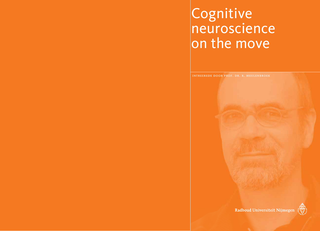# **Cognitive** neuroscience on the move

intreerede door prof. dr. r. meulenbroek



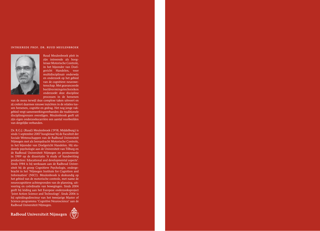## intreerede prof. dr. ruud meulenbroek



Ruud Meulenbroek pleit in zijn intreerede als hoogleraar Motorische Controle, in het bijzonder van Doelgericht Handelen, voor multidisciplinair onderwijs en onderzoek op het gebied van de cognitieve neurowetenschap. Met geavanceerde beeldvormingstechnieken onderzoekt deze discipline processen in de hersenen

van de mens terwijl deze complexe taken uitvoert en zij creëert daarmee nieuwe inzichten in de relaties tussen hersenen, cognitie en gedrag. Het nog jonge vakgebied vergt samenwerkingsverbanden die traditionele disciplinegrenzen overstijgen. Meulenbroek geeft uit zijn eigen onderzoekscarrière een aantal voorbeelden van dergelijke verbanden.

Dr. R.G.J. (Ruud) Meulenbroek (1958, Middelburg) is sinds 1 september 2007 hoogleraar bij de Faculteit der Sociale Wetenschappen van de Radboud Universiteit Nijmegen met als leeropdracht Motorische Controle, in het bijzonder van Doelgericht Handelen. Hij studeerde psychologie aan de Universiteit van Tilburg en de Radboud Universiteit Nijmegen en promoveerde in 1989 op de dissertatie 'A study of handwriting production: Educational and developmental aspects'. Sinds 1984 is hij werkzaam aan de Radboud Universiteit bij de groep Cognitieve Psychologie, ondergebracht in het 'Nijmegen Institute for Cognition and Information' (NICI). Meulenbroek is deskundig op het gebied van de motorische controle, met name de neurocognitieve achtergronden van de planning, uitvoering en coördinatie van bewegingen. Sinds 2004 geeft hij leiding aan het Europese onderzoeksproject 'Joint Action Science and Technology'. Sinds 2006 is hij opleidingsdirecteur van het tweejarige Master of Science-programma 'Cognitive Neuroscience' aan de Radboud Universiteit Nijmegen.

Radboud Universiteit Nijmegen

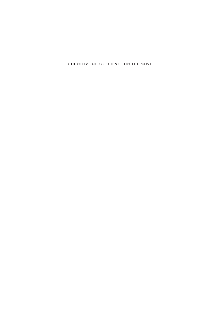cognitive neuroscience on the move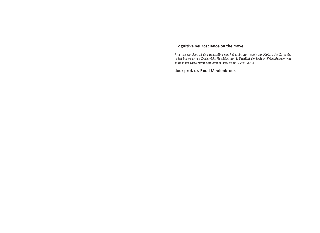# **'Cognitive neuroscience on the move'**

*Rede uitgesproken bij de aanvaarding van het ambt van hoogleraar Motorische Controle, in het bijzonder van Doelgericht Handelen aan de Faculteit der Sociale Wetenschappen van de Radboud Universiteit Nijmegen op donderdag 17 april 2008*

**door prof. dr. Ruud Meulenbroek**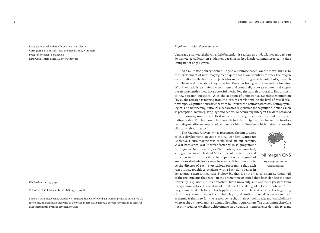Radactie: Hanneke Meulenbroek - van der Meulen Vormgeving en opmaak: Nies en Partners bno, Nijmegen Fotografie omslag: Bert Beelen Drukwerk: Thieme MediaCenter Nijmegen

#### isbn 978-90-9022739-9

© Prof. dr. R.G.J. Meulenbroek, Nijmegen, 2008

Niets uit deze uitgave mag worden vermenigvuldigd en/of openbaar worden gemaakt middels druk, fotokopie, microfilm, geluidsband of op welke andere wijze dan ook, zonder voorafgaande schriftelijke toestemming van de copyrighthouder.

*Mijnheer de rector, dames en heren,* 

Vanwege de aanwezigheid van enkele buitenlandse gasten en omdat ik met een deel van de aanwezige collega's en studenten dagelijks in het Engels communiceer, zal ik deze lezing in het Engels geven.

As a multidisciplinary science, Cognitive Neuroscience is on the move. Thanks to the development of new imaging techniques that allow scientists to track the oxygen consumption in the brain of subjects who are performing experimental tasks, research into the neural correlates of cognitive functions has been given a tremendous impetus. With the spatially accurate fmri technique and temporally accurate EEG method, cognitive neuroscientists now have powerful methodologies at their disposal to find answers to new research questions. With the addition of Transcranial Magnetic Stimulation (tms), the research is moving from the level of correlational to the level of causal relationships. Cognitive neuroscience tries to unravel the neuroanatomical, neurophysiological and neurocomputational mechanisms responsible for cognitive functions such as perception, memory, language and action. To accurately interpret the data obtained in this domain, sound theoretical models of the cognitive functions under study are indispensable. Furthermore, the research in this discipline also frequently involves neurodegenerative, neuropsychological or psychiatric disorders, which makes the domain clinically relevant as well.

The Radboud University has recognised the importance of this development. In 2002 the FC Donders Centre for Cognitive Neuroimaging was established on our campus. A year later, a two-year 'Master of Science' (msc) programme in Cognitive Neuroscience, or cns masters, was launched, a programme in which about 60 lecturers of five faculties and three research institutes strive to prepare a selected group of ambitious students for a career in science. It is an honour to be the director of such a prestigious programme that each year attracts roughly 25 students with a Bachelor's degree in



# Nijmegen CNS

Fig. 1. Logo van het cns 'Student Journal'

behavioural science, linguistics, biology, biophysics or the medical sciences. About half of the cns students that enroll in the programme obtained their bachelor degree at our university, a quarter did so at another Dutch university, and another 25% stem from foreign universities. Those students that meet the stringent selection criteria of the programme tend to belong to the top 5% of their cohort. Nevertheless, at the beginning of the programme I warn them that they, by definition, have deficiencies in their academic training so far, the reason being that their schooling was monodisciplinary whereas the cns programme is a multidisciplinary curriculum. The programme therefore not only requires excellent achievements in a cognitive-neuroscience domain-relevant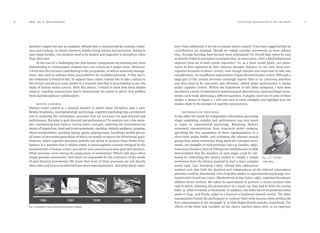bachelor's degree but also an academic attitude that is characterised by curiosity, endurance and modesty. As future scientists, besides being curious and persistent, having to clear many hurdles, cns students need to be modest and respectful to disciplines other than their own.

At the start of a challenging two-year master's programme my warning may seem demotivating to enthousiastic students but I am convinced it makes sense. Moreover, I think that the lecturers contributing to the programme, as well as university management, also need to embrace these preconditions for multidisciplinarity; if they don't, the endeavour is bound to fail. To support these claims I would like to take a detour in this lecture and discuss some studies in a research area that is most familiar to me: the study of human motor control. With this detour, I intend to show how these studies relate to cognitive neuroscience and to demonstrate the extent to which they profited from multidisciplinary collaboration.

# motor control

Human motor control is a research domain in which many disciplines play a part. Besides biophysics, neurophsyiology and biology, cognitive psychology has a prominent role in analysing the information processes that are necessary for goal-directed task performance. But what is goal-directed task performance? To mention just a few examples, maintaining your balance during stance and gait, exploring the environment by means of targeted eye, head and trunk movements, reaching, obstacle avoidance, grasping, object manipulation, speaking, typing, sports, playing music, handling a mobile phone, all forms of movement generation of which we readily recognise the behavioural goals. However, which cognitive processes underlie our ability to produce these forms of behaviour, is a question that is seldom asked. A neurocognitive scientist intrigued by the fundamentals of human action, perception and consciousness does pose that question. What processes occur during the preparation of movements? Which take place when people generate movements? And which are responsible for the evaluation of the results of goal-directed movements? We know that most of these processes are not directly observable and have to be inferred from clever experimentation. And what about cogni-



tion? How substantial is its role in human motor control? It has been suggested that its contributions are minimal. Should we indeed consider movements as mere reflexes that, through learning, have become more articulated? Or should they rather be seen as directly linked to perceptual invariants that, by association, elicit a fixed behavioural response from an in-built action repertoire? Or, as a third model posits, can movements be best explained by their intrinsic dynamic features? In my view, these noncognitive accounts of motor control, even though valuable and important to take into consideration, are insufficient explanations of goal-directed human action. Although a large part of the control processes seemingly require little or no conscious attention and thus seem to be automatic and effortless, skilled motor performance is always under cognitive control. Within the framework of this latter viewpoint, I have been involved in a series of experiments examining goal-directed arm, hand and finger movements, each study addressing a different question. A graphic overview of some of these studies is shown in Figure 2. I will now turn to some examples and highlight how the studies relate to the domain of cognitive neuroscience.

information processes

In the 1980s the search for independent information processing stages underlying complex task performance was very much in vogue in experimental psychology. Retrieving abstract movement representations from long-term motor memory, specifying the free parameters of these representations in a short-term motor buffer, and activating the relevant muscle groups that, when contracted, bring about the intended movements, are examples of such processes (see e.g. Sanders, 1983). Franciscus Donders, born in Tilburg (the Netherlands) in 1818, demonstrated that the duration of such stages could be estimated by subtracting the latency needed to initiate a simple movement from the latency required to start a more complex (1818-1889)motor task. Saul Sternberg (1969) refined this subtraction



Fig. 3. F.C. Donders

method such that both the duration and independence of the inferred information processes could be determined. One of my first studies in experimental psychology, conducted with Gerard van Galen (Meulenbroek & Van Galen, 1983), exploited Sternberg's additive-factor method. We asked the participants to perform a choice-reaction time task in which, following the presentation of a visual cue, they had to write the cursive letter 'g' either forwards or backwards. In addition, the letter was to be produced either small or large, and finally, either in a forward or backward slanted version. The latter manipulation forced the participants to contract their wrist muscles when writing the first submovement of the allograph 'g' or their finger-thumb muscles, respectively. The Fig. 2. Examples of goal-directed movements studied. effects of the three task variables on the choice reaction times were, as we expected,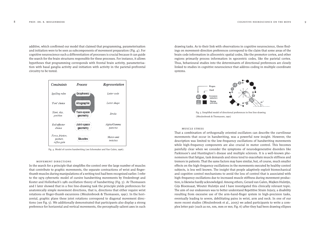additive, which confirmed our model that claimed that programming, parameterisation and initiation were to be seen as subcomponents of movement preparation (Fig. 4). For cognitive neuroscience such a differentiation of processes is crucial because it can guide the search for the brain structures responsible for these processes. For instance, it allows hypotheses that programming corresponds with frontal brain activity, parameterisation with basal ganglia activity and initiation with activity in the parietal-prefrontal circuitry to be tested.



Fig. 4. Model of cursive handwriting (see Schomaker and Van Galen, 1996).

#### movement directions

In the search for a principle that simplifies the control over the large number of muscles that contribute to graphic movements, the separate contractions of wrist and fingerthumb muscles during manipulations of a writing tool had been recognised earlier. I refer to the 1979 cybernetic model of cursive handwriting movements by Vredenbregt and Koster and Hollerbach's 1981 oscillation theory of handwriting (Fig. 5). Ar Thomassen and I later showed that in a free line-drawing task the principle yields preferences for anatomically simple movement directions, that is, directions that either require wrist rotations or finger-thumb excursions (Meulenbroek & Thomassen, 1991). In the horizontal, graphic plane these joint rotations correspond to diagonal movement directions (see Fig. 5). We additionally demonstrated that participants also display a strong preference for horizontal and vertical movements, the perceptually salient axes in such drawing tasks. As to their link with observations in cognitive neuroscience, these findings on movement-direction preferences correspond to the claim that some areas of the brain code information in allocentric spatial codes, like the premotor cortex, and other regions primarily process information in egocentric codes, like the parietal cortex. Thus, behavioural studies into the determinants of directional preferences are closely linked to studies in cognitive neuroscience that address coding in multiple coordinate systems.



Fig. 5. Simplified model of directional preferences in free line-drawing (Meulenbroek & Thomassen, 1991)

# muscle stress

That a combination of orthogonally oriented oscillators can describe the curvilinear movements that occur in handwriting, was a powerful new insight. However, the description was limited to the low-frequency oscillations of handwriting movements while high-frequency components are also crucial in motor control. This becomes painfully clear when we consider the symptoms of neurodegenerative disorders like Parkinson's and Huntington's disease and multiple sclerosis. It is a well-known phenomenon that fatigue, task demands and stress tend to exacerbate muscle stiffness and tremors in patients. That the same factors may have similar, but, of course, much smaller effects on the high-frequency oscillations in the movements executed by healthy control subjects, is less well known. The insight that people adaptively exploit biomechanical and cognitive control mechanisms to avoid the loss of control that is associated with high-frequency oscillations due to increased muscle stiffness during movement production, is likewise hardly acknowledged. Among others, Gerard van Galen, Majken Hulstijn, Gijs Bloemsaat, Wouter Hulstijn and I have investigated this clinically relevant topic. The aim of our endeavours was to better understand Repetitive Strain Injury, a disability resulting from excessive use of the arm-hand-finger system in high-precision tasks, eventually leading to severe, debilitating pains in wrist, arm and neck. In one of our more recent studies (Meulenbroek et al., 2005) we asked participants to write a complex letter pair (such as nn, nm, mm or mn; Fig. 6) after they had been drawing ellipses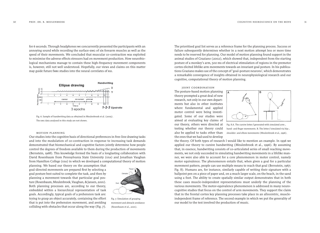for 6 seconds. Through headphones we concurrently presented the participants with an annoying sound while recording the surface-emg of six forearm muscles as well as the speed of their movements. We concluded that muscular co-contraction was exploited to minimise the adverse effects stressors had on movement production. How neurobiological mechanisms manage to contain these high-frequency movement components is, however, still not well understood. Hopefully, our views and claims on this matter may guide future fmri studies into the neural correlates of rsi.



Fig. 6. Sample of handwriting data as obtained in Meulenbroek et al. (2005). The emg data analysed in this study are not shown.

#### motion planning

Our studies into the cognitive basis of directional preferences in free-line drawing tasks and into the modulation of co-contraction in response to increasing task demands demonstrated that biomechanical and cognitive factors jointly determine how people control the degrees of freedom available to them during the production of movements (Bernstein, 1968). This knowledge formed the basis of a longlasting collaboration with David Rosenbaum from Pennsylvania State University (usa) and Jonathan Vaughan from Hamilton College (usa) in which we developed a computational theory of motion

planning. We based our theory on the assumption that goal-directed movements are prepared first by selecting a goal posture best suited to complete the task, and then by planning a movement towards that particular goal posture (Rosenbaum, Meulenbroek, Vaughan, & Jansen, 2001). Both planning processes are, according to our theory, embedded within a hierarchical representation of task goals. Accordingly, typical goals of a prehension task are: trying to grasp an object accurately, containing the effort that is put into the prehension movement, and avoiding colliding with obstacles that occur along the way (Fig. 7).



Fig. 7. Simulation of grasping movement and abstacle avoidance (Rosenbaum et al., 2001).

The prioritised goal list serves as a reference frame for the planning process. Success or failure subsequently determines whether in a next motion attempt less or more time needs to be reserved for planning. Our model of motion planning found support in the animal studies of Graziano (2002), which showed that, independent from the starting posture of a monkey's arm, 500 ms of electrical stimulation of regions in the premotor cortex elicited lifelike arm movements towards an invariant goal posture. In his publications Graziano makes use of the concept of 'goal-posture neurons', which demonstrates a remarkable convergence of insights obtained in neurophysiological research and our cognitive, computational theory of motion planning.

joint coordination The posture-based motion planning theory prompted a great deal of new research, not only in our own departments but also in other institutes where fundamental and applied motor control were being investigated. Some of our studies were aimed at evaluating key claims of our theory, others were directed at testing whether our theory could also be applied to tasks other than the ones that we had used to develop



Fig. 8.A. The cursive letter *f* generated with simulated arm-, hand- and finger movements. B. The letter *f* simulated via hip-, shoulder- and elbow movements (Meulenbroek et al., 1996).

the theory. Of both types of research I would like to mention an example. In 1996 we applied our theory to cursive handwriting (Meulenbroek et al., 1996). By assuming that, in essence, handwriting consists of co-articulated series of small reaching movements, we not only succeeded in simulating handwriting movements in a lifelike manner, we were also able to account for a core phenomenon in motor control, namely motor equivalence. The phenomenon entails that, when given a goal for a particular movement pattern, people can use multiple means to reach that goal (Bernstein, 1967; Fig. 8). Humans are, for instance, similarly capable of writing their signature with a ballpoint pen on a piece of paper and, on a much larger scale, on the beach, in the sand using a foot. The ability to create spatially similar output demonstrates that in both these cases muscle-independent representations must underly the planning of the various movements. The motor-equivalence phenomenon is addressed in many neurocognitive studies that focus on the control of arm movements. They support the claim that in the frontal cortex key planning processes take place in an allocentric, muscleindependent frame of reference. The second example in which we put the generality of our model to the test involved the production of music.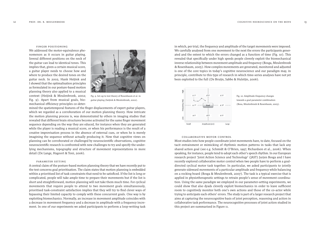# finger positioning

We addressed the motor-equivalence phenomenon as it occurs in guitar playing. Several different positions on the neck of the guitar can lead to identical tones. This implies that, given a certain musical score, a guitar player needs to choose how and where to produce the desired tones on the guitar neck. In 2002, Hank Heijink and I showed that the optimalisation principles as formulated in our posture-based motion planning theory also applied to a musical context (Heijink & Meulenbroek, 2002; Fig. 9). Apart from musical goals, biomechanical efficiency principles co-deter-



Fig. 9. Set-up to test theory of Rosenbaum et al. in guitar playing (heijink & Meulenbroek, 2002).

mined the spatiotemporal features of the finger displacements of expert guitar players, which we regarded as a corroboration of our motion planning theory. How intricate the motion planning process is, was demonstrated by others in imaging studies that revealed that different brain structures become activated for the same finger movement sequence depending on the way they are educed, for instance when they are generated while the player is reading a musical score, or when his performance is the result of a creative improvisation process in the absence of external cues, or when he is merely imagining the sequence without actually producing it. Now that cognitive views on planning can be corroborated or challenged by neuroscientific observations, cognitive neuroscientific research is confronted with new challenges to try and specify the underlying mechanisms, topography and structure of movement representations in more detail (De Lange, Hagoort & Toni, 2006).

#### parameter setting

A central claim of the posture-based motion planning theory that we have recently put to the test concerns goal prioritisation. The claim states that motion planning is embedded within a prioritised list of task constraints that need to be satisficed. If the list is long or complicated, people will take ample time to prepare their movements but if the list is short and straightforward, motion planning will not take them much time. For cyclical movements that require people to attend to two movement goals simultaneously, prioritised task-constraint satisfaction implies that they will try to find clever ways of bypassing their limited capacity to comply with these concurrent goals. One way is by exploiting biomechanics. Normally, an increase in movement amplitude coincides with a decrease in movement frequency and a decrease in amplitude with a frequency increment. In one of our experiments we asked participants to perform a loop-writing task in which, per trial, the frequency and amplitude of the target movements were imposed. We carefully analysed from one movement to the next the errors the participants generated and the extent to which the errors changed as a function of time (Fig. 10). This revealed that specifically under high speeds people cleverly exploit the biomechanical inverse relationship between movement amplitude and frequency (Bosga, Meulenbroek & Rosenbaum, 2005). How complex movements are generated, monitored and adjusted is one of the core topics in today's cognitive neuroscience and our paradigm may, in principle, contribute to this type of research in which time-series analyses have not yet been exploited to the full (De Bruijn, Sabbe & Hulstijn, 2006).



Fig. 10. Amplitude-frequency changes towards a goal parameter combination (Bosa, Meulenbroek & Rosenbaum, 2005).

### collaborative motor control

Most studies into how people coordinate joint movements have, to date, focused on the tacit entrainment or mimicking of rhythmic motion patterns in tasks that lack any shared action goal (see e.g. Schmidt & O'Brien, 1997; Richardson et al., 2006). When speaking, for instance, people tend to adopt each other's speech rhythm. In our European research project 'Joint Action Science and Technology' (JAST) Jurjen Bosga and I have recently explored collaborative motor control when two people have to perform a goaldirected cyclical motor task together. In particular, we asked participants to jointly generate sideward movements of a particular amplitude and frequency while balancing on a rocking board (Bosga & Meulenbroek, 2007). The task is a typical exercise that is applied in physiotherapeutic settings to retrain people's sense of movement coordination. Using the same paradigm we employed in our parameter-setting experiments, we could show that also dyads cleverly exploit biomechanics in order to leave sufficient room to cognitively monitor both one's own actions and those of the co-actor while trying to anticipate each others' errors. The study is part of a larger research project that aims at capturing the neurocognitive basis of joint perception, reasoning and action in collaborative task performance. The neurocognitive processes of joint action studied in this project are summarised in Figure 11.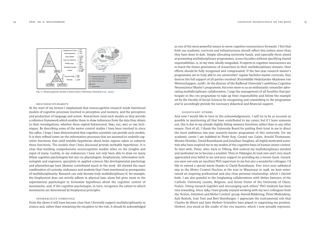

Fig. 11. Neurocognitive model of joint action (Newman-Norlund et al., 2007).

# multidisciplinarity

At the start of my lecture I emphasised that neurocognitive research needs functional models of cognitive processes involved in perception and memory, and the perception and production of language and action. Researchers need such models as they provide a reference framework which enables them to draw inferences from the data they obtain in their investigations, whether these exploit behavioural, fmri, eeg, meg or tms techniques. By describing some of the motor control studies I have been involved in since the 1980s, I hope I have demonstrated that cognitive scientists can provide such models. It is their refined views on the information processes that are assumed to underlie cognitive functions that yield testable hypotheses about brain regions taken to subserve these functions. The models that I have discussed provide workable hypotheses. It is clear that building comprehensive neurocognitive models relies on the insights and input of many. Luckily, in my endeavours I have not only been able to draw on many fellow cognitive psychologists but also on physiologists, biophysicists, information technologists and engineers; specialists in applied sciences like developmental psychology and physiotherapy have likewise contributed much to the work. All showed the exact combination of curiosity, endurance and modesty that I have mentioned as prerequisites of multidisciplinarity. Research can only become truly multidisciplinary if, for example, the biophysicist does not strictly adhere to physical laws alone but gives room to the experimental psychologist to formulate hypotheses about the cognitive control of movements, and, if the cognitive psychologist, in turn, recognises the extent to which movements are determined by biophysical principles.

## interfaculty curricula

From the above it will have become clear that I fervently support multidisciplinarity in science and, rather than remaining the exception to the rule, it should be acknowledged

as one of the most powerful means to move cognitive neuroscience forwards. I feel that both our academic curricula and infrastructures should reflect this notion more than they have done to date. Simply allocating university funds, and especially those aimed at promoting multidisciplinary programmes, across faculties without specifying shared responsibilities, is, in my view, wholly misguided. If experts in cognitive neuroscience are to teach the future generations of researchers in their multidisciplinary domain, their efforts should be fully recognised and compensated. If the two-year research master's programmes are to truly add to our universities' regular bachelor-master curricula, they deserve the full support of all parties involved (Koninklijke Nederlandse Akademie van Wetenschappen, 2008). As the director of the Radboud University's ambitious Cognitive Neuroscience Master's programme, but even more so as an enthusiastic researcher advocating multidisciplinary collaboration, I urge the management of all faculties that participate in the cns programme to take up their responsibility and follow the example set by the Faculty of Social Sciences by recognising and committing to the programme and to accordingly provide the necessary didactical and financial support.

#### significant others

And now I would like to turn to the acknowledgements. I will try to be as accurate as possible in mentioning all that have contributed to my career, but if I leave someone out, this is due to my already slightly failing memory functions rather than to any other reason. First of all, I thank the University Board for putting their trust in me to direct the most ambitious two-year research-master programme of this university. For my academic career I am indebted to Pieter Kop, Gerard van Galen, Arnold Thomassen, Wouter Hulstijn, David Rosenbaum and Jonathan Vaughan, all highly motivated scientists who have inspired me in my studies of the cognitive basis of human motor control. To start with, Pieter, who, back in Tilburg, first noticed my multidisciplinary mindset and motivated me to become a scientist. Then in Nijmegen Ar took over and I very much appreciated your belief in me and your support in providing me a tenure track. Gerard, you were not only an excellent PhD supervisor to me but also a wonderful colleague. I'd like to extend a special warm thanks to David Rosenbaum. Ever since your sabbatical stay in the Motor Control Nucleus at the nias in Wassenaar in 1998, we have entertained an inspiring professional and also close personal relationship, which I cherish both. I am also grateful to the longlasting collaborations with Stefan Swinnen of the Catholic University Leuven, Belgium, and Annie Vinter of the University of Dijon, France. Doing research together and encouraging each others' PhD students has been very rewarding. Since 1984 I have greatly enjoyed working with my nici colleagues from the 'Action, Intention and Motor Control' group: Harold Bekkering, Pieter Medendorp, Ardi Roelofs, Ivan Toni and Bert Steenbergen. I appreciate the instrumental role that Charles de Weert and later Herbert Schriefers have played in supporting my position. Herbert, you stood at the cradle of the cns masters, which I now proudly represent.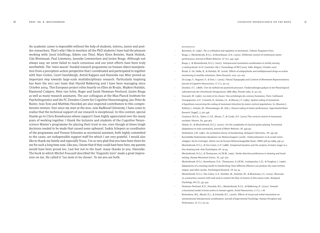An academic career is impossible without the help of students, interns, junior and postdoc researchers. That's why I like to mention all the PhD students I have had the pleasure working with: Joost Schillings, Edwin van Thiel, Mary Klein Breteler, Hank Heijink, Gijs Bloemsaat, Paul Lemmens, Janneke Lommertzen and Jurjen Bosga. Although not always easy, we never failed to reach consensus and our joint efforts have been truly worthwhile. The 'nwo-magw'-funded research programme on human object manipulation from a perception-action perspective that I coordinated and participated in together with Stan Gielen, Geert Savelsbergh, Astrid Kappers and Hanneke van Mier proved an important step towards large-scale multidisciplinary research. Particularly inspiring has been the nici jast team that Harold Bekkering and I have been managing since October 2004. This European project relies heavily on Ellen de Bruijn, Majken Hulstijn, Raymond Cuijpers, Hein van Schie, Roger and Sarah Newman-Norlund, Jurjen Bosga as well as many research assistants. The jast colleagues at the Max Planck Institute for Psycholinguistics and the FC Donders Centre for Cognitive Neuroimaging, Jan-Peter de Ruiter, Ivan Toni and Matthijs Noordzij are also respected contributors to this comprehensive venture. Ever since my start at the kun, now Radboud University, I have come to realise that the technical support of our research is exceptional. In this context, special thanks go to Chris Bouwhuisen whose support I have highly appreciated over the many years of working together. I thank the lecturers and students of the Cognitive Neuroscience Master's programme for placing their trust in me, even though at times tough decisions needed to be made that caused some upheaval. Saskia Schepers as coordinator of the programme and Yvonne Schouten as secretarial assistant, both highly committed to the cause, are indispensible support staff for which I am very grateful. I would also like to thank my family and especially Truus. I'm so very glad that you have been there for me for such a long time now. Like you, I know that if they could have been here, my parents would have been proud too. Last but not in the least: many thanks to you, Hanneke. The book in which Michel Foucault described the 'linguistic turn' made a great impression on me. He called it 'Les mots et les choses'. To me you are both.

### references

- Bernstein, N. (1967). *The co-ordination and regulation of movements*. Oxford: Pergamon Press.
- Bosga, J., Meulenbroek, R.G.J., & Rosenbaum, D.A. (2005). Deliberate control of continuous motor performance. *Journal of Motor Behavior, 37 (6)*, 437–446.
- Bosga, J., & Meulenbroek, R.G.J. (2007). Interpersonal movement coordination in jointly moving a rocking board. In N. Gantchev (Ed.), Proceedings of MCC2007, Sofia, Bulgary, October 2007.
- Bruijn, E. De, Sabbe, B., & Hulstijn, W. (2006). Effects of antipsychotic and antidepressant drugs on action monitoring in healthy volunteers. *Brain Research*, 1105, 122-129.
- De Lange, F., Hagoort, P., & Toni, I. (2005). Neural Topography and Content of Movement Representations. *Journal of Cognitive Neuroscience, 17 (1)*, 97-112.
- Donders, F.C. (1868). *Over de snelheid van psychische processen*. Onderzoekingen gedaan in het Physiologisch Laboratorium der Utrechtsche Hoogeschool, 1868-1869, Tweede reeks, II, 92-120.
- Foucault, M. (1966). Les mots et les choses: Une archéologie des sciences humaines. Paris: Gallimard.
- Georgopoulos, A.P., Caminiti, R., Kalaska, J.F., & Massey, J.T. (1983). Spatial coding of movement: A hypothesis concerning the coding of movement direction by motor cortical populations. In: Massion J, Paillard, J., Schultz, W., Wiesendanger, M. (Eds.), Neural coding of motor performance. *Experimental Brain Research [Suppl]*, 7, 327-336.
- Graziano, M.S.A., Taylor, C.S.R., Moore, T., & Cooke, D.F. (2002) The cortical control of movement revisited. *Neuron, 36*, 349-362.
- Heijnk, H., & Meulenbroek, R.G.J. (2002). On the complexity of classical guitar playing: Functional adaptations to task constraints, *Journal of Motor Behavior, 34*, 339-351.
- Hollerbach, J.M. (1981). An oscillation theory of handwriting. *Biological Cybernetics, 39*, 139-156.
- Koninklijke Nederlandse Akademie van Wetenschappen (2008). *Onderzoekmasters in de sociale wetenschappen: Eerste ervaringen*. Advies van de Sociaal-Wetenschappelijke Raad. (ISBN 978-90-6984-536-4).
- Meulenbroek, R.G.J., & Van Galen, G.P. (1988). Foreperiod duration and the analysis of motor stages in a line-drawing task. *Acta Psychologica, 69*, 19-33.
- Meulenbroek, R.G.J., & Thomassen, A.J.W.M. (1991). Stroke-direction preferences in drawing and handwriting. *Human Movement Science, 10*, 247-270.
- Meulenbroek, R.G.J., Rosenbaum, D.A., Thomassen, A.J.W.M., Loukopoulos, L.D., & Vaughan, J. (1996). Adaptations of a reaching model to handwriting: How different effectors can produce the same written output, and other results. *Psychological Research, 59*, 64-74.
- Meulenbroek, R.G.J., Van Galen, G.P., Hulstijn, M., Hulstijn, W., & Bloemsaat, J.G. (2005). Muscular co-contraction covaries with task load to control the flow of motion in fine motor tasks. *Biological Psychology, 68 (3)*, 331-352.
- Newman-Norlund, R.D., Noordzij, M.L., Meulenbroek, R.G.J., & Bekkering, H. (2007). Towards a functional model of joint action in human agents. *Social Neuroscience, 2 (1)*, 1-18.
- Richardson, M.J., Marsh, K.L., & Schmidt, R.C. (2006). Effects of visual and verbal interaction on unintentional interpersonal coordination. *Journal of Experimental Psychology: Human Perception and Performance, 31 (1)*, 62-79.